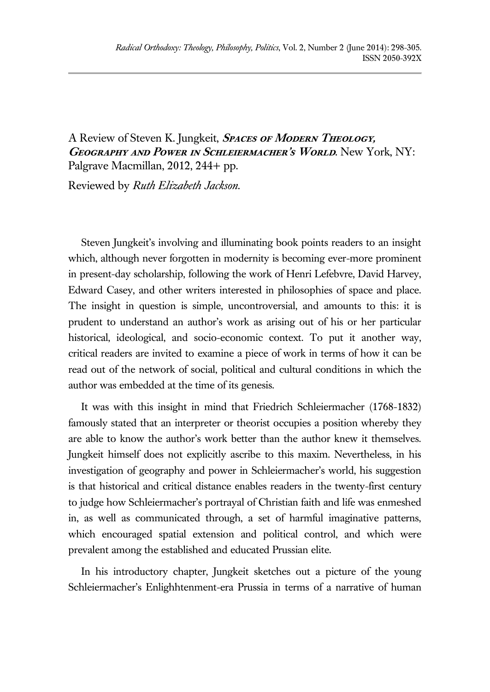A Review of Steven K. Jungkeit, **Spaces of Modern Theology, Geography and Power in Schleiermacher's World**. New York, NY: Palgrave Macmillan, 2012, 244+ pp.

Reviewed by *Ruth Elizabeth Jackson*.

Steven Jungkeit's involving and illuminating book points readers to an insight which, although never forgotten in modernity is becoming ever-more prominent in present-day scholarship, following the work of Henri Lefebvre, David Harvey, Edward Casey, and other writers interested in philosophies of space and place. The insight in question is simple, uncontroversial, and amounts to this: it is prudent to understand an author's work as arising out of his or her particular historical, ideological, and socio-economic context. To put it another way, critical readers are invited to examine a piece of work in terms of how it can be read out of the network of social, political and cultural conditions in which the author was embedded at the time of its genesis.

It was with this insight in mind that Friedrich Schleiermacher (1768-1832) famously stated that an interpreter or theorist occupies a position whereby they are able to know the author's work better than the author knew it themselves. Jungkeit himself does not explicitly ascribe to this maxim. Nevertheless, in his investigation of geography and power in Schleiermacher's world, his suggestion is that historical and critical distance enables readers in the twenty-first century to judge how Schleiermacher's portrayal of Christian faith and life was enmeshed in, as well as communicated through, a set of harmful imaginative patterns, which encouraged spatial extension and political control, and which were prevalent among the established and educated Prussian elite.

In his introductory chapter, Jungkeit sketches out a picture of the young Schleiermacher's Enlighhtenment-era Prussia in terms of a narrative of human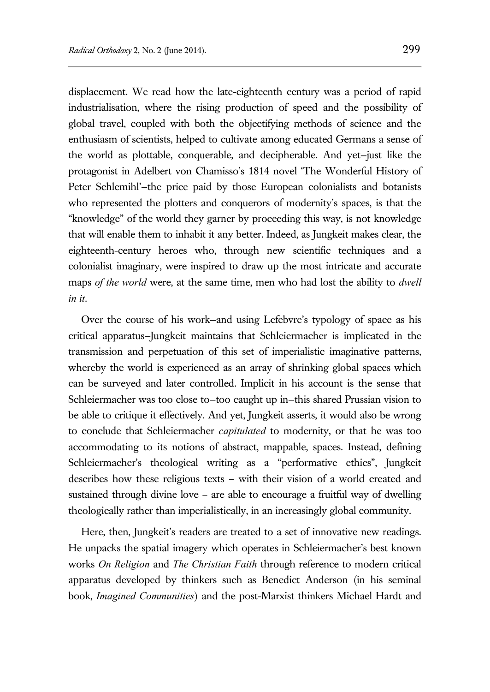displacement. We read how the late-eighteenth century was a period of rapid industrialisation, where the rising production of speed and the possibility of global travel, coupled with both the objectifying methods of science and the enthusiasm of scientists, helped to cultivate among educated Germans a sense of the world as plottable, conquerable, and decipherable. And yet—just like the protagonist in Adelbert von Chamisso's 1814 novel 'The Wonderful History of Peter Schlemihl'—the price paid by those European colonialists and botanists who represented the plotters and conquerors of modernity's spaces, is that the "knowledge" of the world they garner by proceeding this way, is not knowledge that will enable them to inhabit it any better. Indeed, as Jungkeit makes clear, the eighteenth-century heroes who, through new scientific techniques and a colonialist imaginary, were inspired to draw up the most intricate and accurate maps *of the world* were, at the same time, men who had lost the ability to *dwell in it*.

Over the course of his work—and using Lefebvre's typology of space as his critical apparatus—Jungkeit maintains that Schleiermacher is implicated in the transmission and perpetuation of this set of imperialistic imaginative patterns, whereby the world is experienced as an array of shrinking global spaces which can be surveyed and later controlled. Implicit in his account is the sense that Schleiermacher was too close to—too caught up in—this shared Prussian vision to be able to critique it effectively. And yet, Jungkeit asserts, it would also be wrong to conclude that Schleiermacher *capitulated* to modernity, or that he was too accommodating to its notions of abstract, mappable, spaces. Instead, defining Schleiermacher's theological writing as a "performative ethics", Jungkeit describes how these religious texts – with their vision of a world created and sustained through divine love – are able to encourage a fruitful way of dwelling theologically rather than imperialistically, in an increasingly global community.

Here, then, Jungkeit's readers are treated to a set of innovative new readings. He unpacks the spatial imagery which operates in Schleiermacher's best known works *On Religion* and *The Christian Faith* through reference to modern critical apparatus developed by thinkers such as Benedict Anderson (in his seminal book, *Imagined Communities*) and the post-Marxist thinkers Michael Hardt and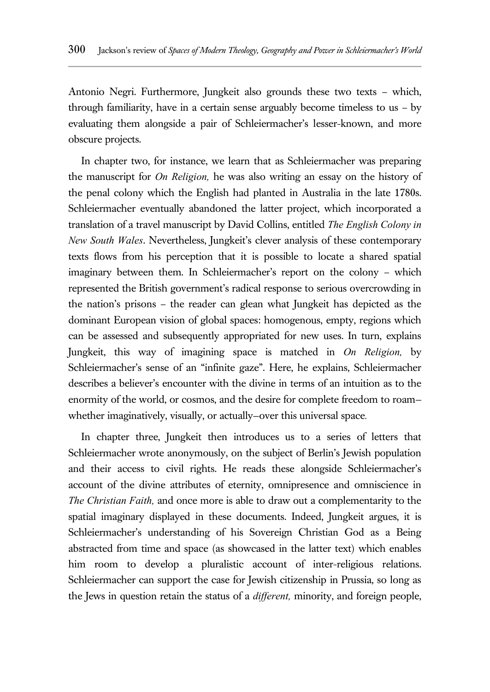Antonio Negri. Furthermore, Jungkeit also grounds these two texts – which, through familiarity, have in a certain sense arguably become timeless to us – by evaluating them alongside a pair of Schleiermacher's lesser-known, and more obscure projects.

In chapter two, for instance, we learn that as Schleiermacher was preparing the manuscript for *On Religion,* he was also writing an essay on the history of the penal colony which the English had planted in Australia in the late 1780s. Schleiermacher eventually abandoned the latter project, which incorporated a translation of a travel manuscript by David Collins, entitled *The English Colony in New South Wales*. Nevertheless, Jungkeit's clever analysis of these contemporary texts flows from his perception that it is possible to locate a shared spatial imaginary between them. In Schleiermacher's report on the colony – which represented the British government's radical response to serious overcrowding in the nation's prisons – the reader can glean what Jungkeit has depicted as the dominant European vision of global spaces: homogenous, empty, regions which can be assessed and subsequently appropriated for new uses. In turn, explains Jungkeit, this way of imagining space is matched in *On Religion,* by Schleiermacher's sense of an "infinite gaze". Here, he explains, Schleiermacher describes a believer's encounter with the divine in terms of an intuition as to the enormity of the world, or cosmos, and the desire for complete freedom to roam whether imaginatively, visually, or actually—over this universal space*.* 

In chapter three, Jungkeit then introduces us to a series of letters that Schleiermacher wrote anonymously, on the subject of Berlin's Jewish population and their access to civil rights. He reads these alongside Schleiermacher's account of the divine attributes of eternity, omnipresence and omniscience in *The Christian Faith,* and once more is able to draw out a complementarity to the spatial imaginary displayed in these documents. Indeed, Jungkeit argues, it is Schleiermacher's understanding of his Sovereign Christian God as a Being abstracted from time and space (as showcased in the latter text) which enables him room to develop a pluralistic account of inter-religious relations. Schleiermacher can support the case for Jewish citizenship in Prussia, so long as the Jews in question retain the status of a *different,* minority, and foreign people,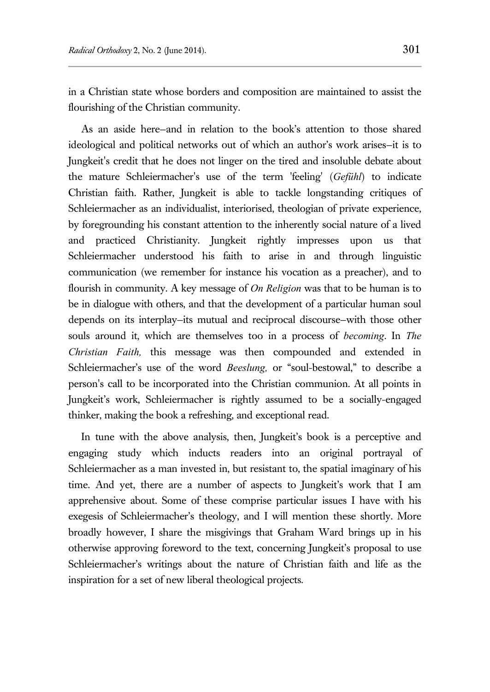in a Christian state whose borders and composition are maintained to assist the flourishing of the Christian community.

As an aside here—and in relation to the book's attention to those shared ideological and political networks out of which an author's work arises—it is to Jungkeit's credit that he does not linger on the tired and insoluble debate about the mature Schleiermacher's use of the term 'feeling' (*Gefühl*) to indicate Christian faith. Rather, Jungkeit is able to tackle longstanding critiques of Schleiermacher as an individualist, interiorised, theologian of private experience, by foregrounding his constant attention to the inherently social nature of a lived and practiced Christianity. Jungkeit rightly impresses upon us that Schleiermacher understood his faith to arise in and through linguistic communication (we remember for instance his vocation as a preacher), and to flourish in community. A key message of *On Religion* was that to be human is to be in dialogue with others, and that the development of a particular human soul depends on its interplay—its mutual and reciprocal discourse—with those other souls around it, which are themselves too in a process of *becoming*. In *The Christian Faith,* this message was then compounded and extended in Schleiermacher's use of the word *Beeslung*, or "soul-bestowal," to describe a person's call to be incorporated into the Christian communion. At all points in Jungkeit's work, Schleiermacher is rightly assumed to be a socially-engaged thinker, making the book a refreshing, and exceptional read.

In tune with the above analysis, then, Jungkeit's book is a perceptive and engaging study which inducts readers into an original portrayal of Schleiermacher as a man invested in, but resistant to, the spatial imaginary of his time. And yet, there are a number of aspects to Jungkeit's work that I am apprehensive about. Some of these comprise particular issues I have with his exegesis of Schleiermacher's theology, and I will mention these shortly. More broadly however, I share the misgivings that Graham Ward brings up in his otherwise approving foreword to the text, concerning Jungkeit's proposal to use Schleiermacher's writings about the nature of Christian faith and life as the inspiration for a set of new liberal theological projects.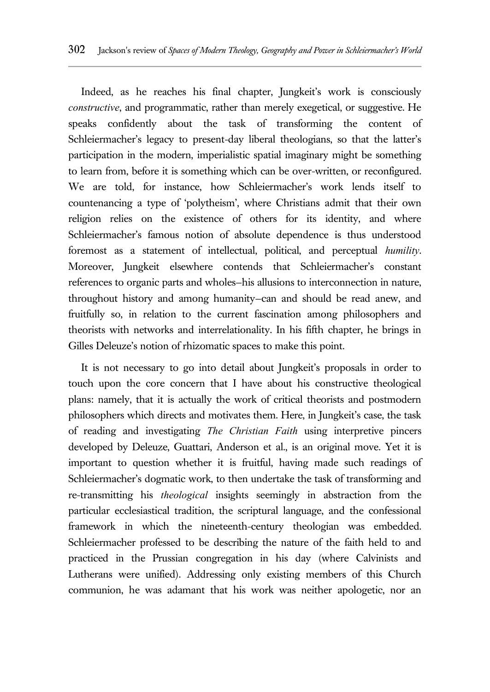Indeed, as he reaches his final chapter, Jungkeit's work is consciously *constructive*, and programmatic, rather than merely exegetical, or suggestive. He speaks confidently about the task of transforming the content of Schleiermacher's legacy to present-day liberal theologians, so that the latter's participation in the modern, imperialistic spatial imaginary might be something to learn from, before it is something which can be over-written, or reconfigured. We are told, for instance, how Schleiermacher's work lends itself to countenancing a type of 'polytheism', where Christians admit that their own religion relies on the existence of others for its identity, and where Schleiermacher's famous notion of absolute dependence is thus understood foremost as a statement of intellectual, political, and perceptual *humility*. Moreover, Jungkeit elsewhere contends that Schleiermacher's constant references to organic parts and wholes—his allusions to interconnection in nature, throughout history and among humanity—can and should be read anew, and fruitfully so, in relation to the current fascination among philosophers and theorists with networks and interrelationality. In his fifth chapter, he brings in Gilles Deleuze's notion of rhizomatic spaces to make this point.

It is not necessary to go into detail about Jungkeit's proposals in order to touch upon the core concern that I have about his constructive theological plans: namely, that it is actually the work of critical theorists and postmodern philosophers which directs and motivates them. Here, in Jungkeit's case, the task of reading and investigating *The Christian Faith* using interpretive pincers developed by Deleuze, Guattari, Anderson et al., is an original move. Yet it is important to question whether it is fruitful, having made such readings of Schleiermacher's dogmatic work, to then undertake the task of transforming and re-transmitting his *theological* insights seemingly in abstraction from the particular ecclesiastical tradition, the scriptural language, and the confessional framework in which the nineteenth-century theologian was embedded. Schleiermacher professed to be describing the nature of the faith held to and practiced in the Prussian congregation in his day (where Calvinists and Lutherans were unified). Addressing only existing members of this Church communion, he was adamant that his work was neither apologetic, nor an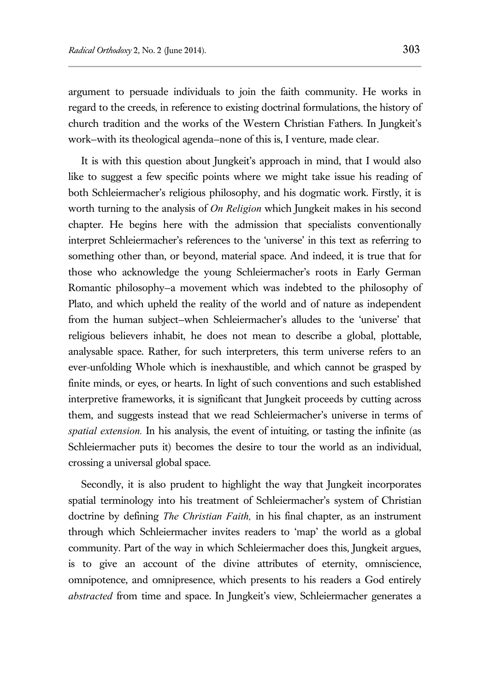argument to persuade individuals to join the faith community. He works in regard to the creeds, in reference to existing doctrinal formulations, the history of church tradition and the works of the Western Christian Fathers. In Jungkeit's work—with its theological agenda—none of this is, I venture, made clear.

It is with this question about Jungkeit's approach in mind, that I would also like to suggest a few specific points where we might take issue his reading of both Schleiermacher's religious philosophy, and his dogmatic work. Firstly, it is worth turning to the analysis of *On Religion* which Jungkeit makes in his second chapter. He begins here with the admission that specialists conventionally interpret Schleiermacher's references to the 'universe' in this text as referring to something other than, or beyond, material space. And indeed, it is true that for those who acknowledge the young Schleiermacher's roots in Early German Romantic philosophy—a movement which was indebted to the philosophy of Plato, and which upheld the reality of the world and of nature as independent from the human subject—when Schleiermacher's alludes to the 'universe' that religious believers inhabit, he does not mean to describe a global, plottable, analysable space. Rather, for such interpreters, this term universe refers to an ever-unfolding Whole which is inexhaustible, and which cannot be grasped by finite minds, or eyes, or hearts. In light of such conventions and such established interpretive frameworks, it is significant that Jungkeit proceeds by cutting across them, and suggests instead that we read Schleiermacher's universe in terms of *spatial extension.* In his analysis, the event of intuiting, or tasting the infinite (as Schleiermacher puts it) becomes the desire to tour the world as an individual, crossing a universal global space.

Secondly, it is also prudent to highlight the way that Jungkeit incorporates spatial terminology into his treatment of Schleiermacher's system of Christian doctrine by defining *The Christian Faith,* in his final chapter, as an instrument through which Schleiermacher invites readers to 'map' the world as a global community. Part of the way in which Schleiermacher does this, Jungkeit argues, is to give an account of the divine attributes of eternity, omniscience, omnipotence, and omnipresence, which presents to his readers a God entirely *abstracted* from time and space. In Jungkeit's view, Schleiermacher generates a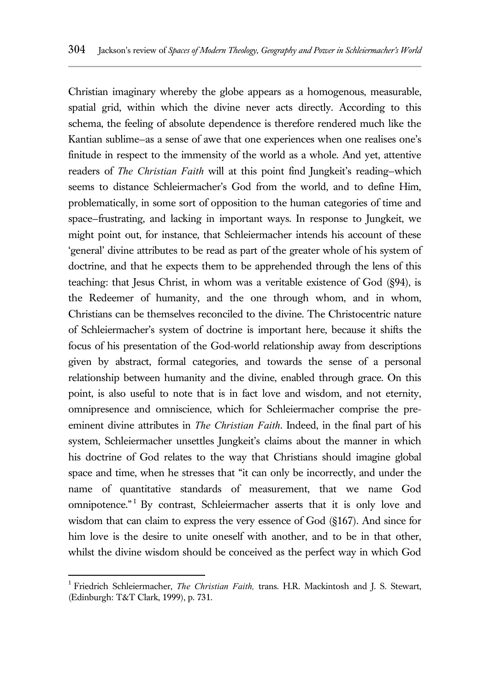Christian imaginary whereby the globe appears as a homogenous, measurable, spatial grid, within which the divine never acts directly. According to this schema, the feeling of absolute dependence is therefore rendered much like the Kantian sublime—as a sense of awe that one experiences when one realises one's finitude in respect to the immensity of the world as a whole. And yet, attentive readers of *The Christian Faith* will at this point find Jungkeit's reading—which seems to distance Schleiermacher's God from the world, and to define Him, problematically, in some sort of opposition to the human categories of time and space—frustrating, and lacking in important ways. In response to Jungkeit, we might point out, for instance, that Schleiermacher intends his account of these 'general' divine attributes to be read as part of the greater whole of his system of doctrine, and that he expects them to be apprehended through the lens of this teaching: that Jesus Christ, in whom was a veritable existence of God (§94), is the Redeemer of humanity, and the one through whom, and in whom, Christians can be themselves reconciled to the divine. The Christocentric nature of Schleiermacher's system of doctrine is important here, because it shifts the focus of his presentation of the God-world relationship away from descriptions given by abstract, formal categories, and towards the sense of a personal relationship between humanity and the divine, enabled through grace. On this point, is also useful to note that is in fact love and wisdom, and not eternity, omnipresence and omniscience, which for Schleiermacher comprise the preeminent divine attributes in *The Christian Faith*. Indeed, in the final part of his system, Schleiermacher unsettles Jungkeit's claims about the manner in which his doctrine of God relates to the way that Christians should imagine global space and time, when he stresses that "it can only be incorrectly, and under the name of quantitative standards of measurement, that we name God omnipotence."<sup>1</sup> By contrast, Schleiermacher asserts that it is only love and wisdom that can claim to express the very essence of God (§167). And since for him love is the desire to unite oneself with another, and to be in that other, whilst the divine wisdom should be conceived as the perfect way in which God

 $\overline{a}$ 

<sup>1</sup> Friedrich Schleiermacher, *The Christian Faith,* trans. H.R. Mackintosh and J. S. Stewart, (Edinburgh: T&T Clark, 1999), p. 731.